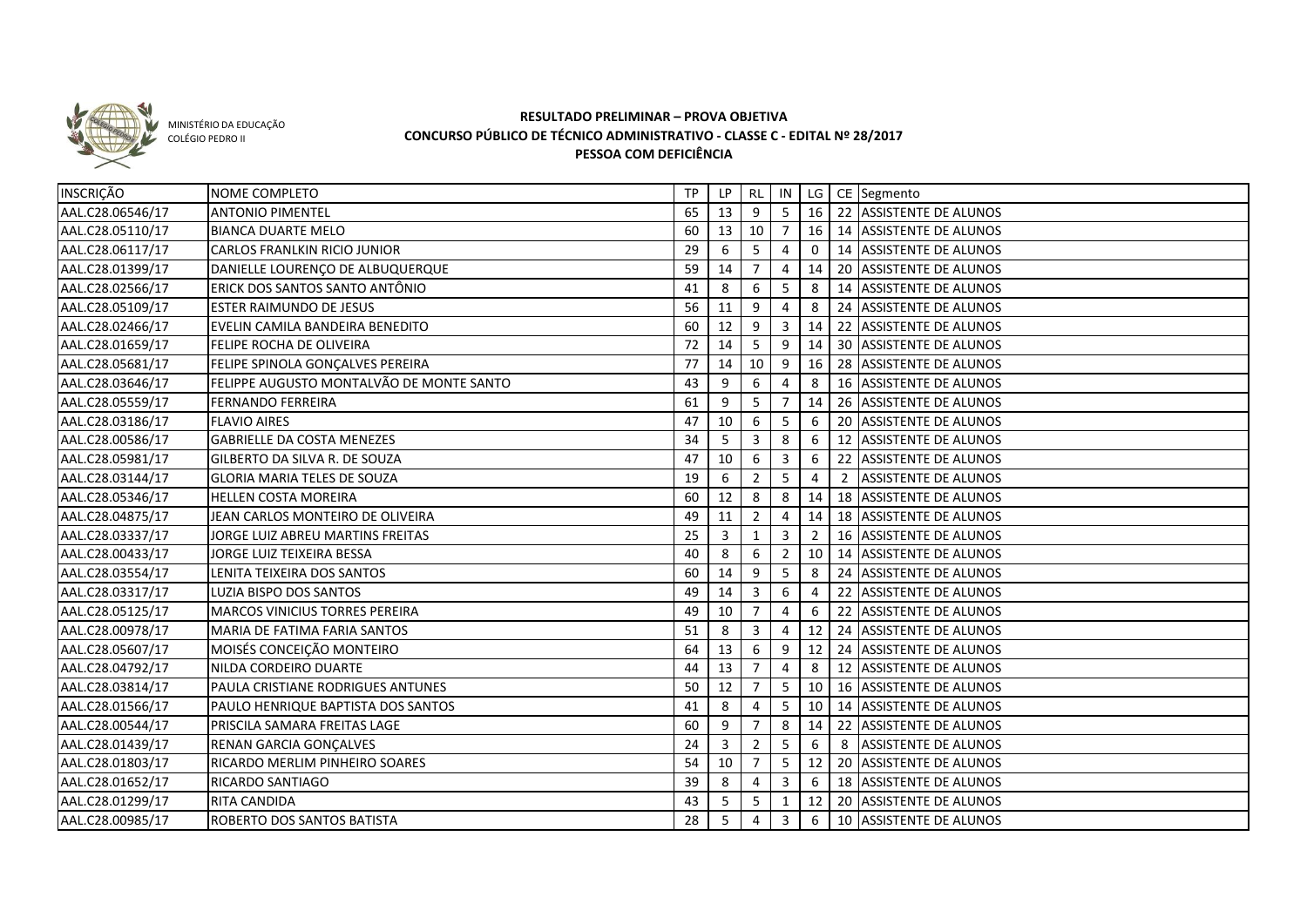

MINISTÉRIO DA EDUCAÇÃO COLÉGIO PEDRO II

## **RESULTADO PRELIMINAR – PROVA OBJETIVA CONCURSO PÚBLICO DE TÉCNICO ADMINISTRATIVO - CLASSE C - EDITAL Nº 28/2017 PESSOA COM DEFICIÊNCIA**

| <b>INSCRIÇÃO</b> | NOME COMPLETO                            | TP | LP              |                 |                |                |   | RL IN   LG   CE Segmento    |
|------------------|------------------------------------------|----|-----------------|-----------------|----------------|----------------|---|-----------------------------|
| AAL.C28.06546/17 | <b>ANTONIO PIMENTEL</b>                  | 65 | 13              | 9               | 5              | 16             |   | 22 ASSISTENTE DE ALUNOS     |
| AAL.C28.05110/17 | <b>BIANCA DUARTE MELO</b>                | 60 | 13              | 10 <sup>1</sup> | 7              | 16             |   | 14 ASSISTENTE DE ALUNOS     |
| AAL.C28.06117/17 | CARLOS FRANLKIN RICIO JUNIOR             | 29 | 6               | -5              | 4              | $\Omega$       |   | 14 ASSISTENTE DE ALUNOS     |
| AAL.C28.01399/17 | DANIELLE LOURENÇO DE ALBUQUERQUE         | 59 | 14              | $\overline{7}$  | 4              | 14             |   | 20 ASSISTENTE DE ALUNOS     |
| AAL.C28.02566/17 | ERICK DOS SANTOS SANTO ANTÔNIO           | 41 | 8               | 6               | 5              | 8              |   | 14 ASSISTENTE DE ALUNOS     |
| AAL.C28.05109/17 | ESTER RAIMUNDO DE JESUS                  | 56 | 11              | 9               | 4              | 8              |   | 24 ASSISTENTE DE ALUNOS     |
| AAL.C28.02466/17 | EVELIN CAMILA BANDEIRA BENEDITO          | 60 | 12              | 9               | 3              | 14             |   | 22 ASSISTENTE DE ALUNOS     |
| AAL.C28.01659/17 | FELIPE ROCHA DE OLIVEIRA                 | 72 | 14              | 5               | 9              | 14             |   | 30 ASSISTENTE DE ALUNOS     |
| AAL.C28.05681/17 | FELIPE SPINOLA GONÇALVES PEREIRA         | 77 | 14              | 10 <sup>1</sup> | 9              | 16             |   | 28 ASSISTENTE DE ALUNOS     |
| AAL.C28.03646/17 | FELIPPE AUGUSTO MONTALVÃO DE MONTE SANTO | 43 | 9               | 6               | 4              | 8              |   | 16 ASSISTENTE DE ALUNOS     |
| AAL.C28.05559/17 | <b>FERNANDO FERREIRA</b>                 | 61 | 9               | 5               | $\overline{7}$ | 14             |   | 26 ASSISTENTE DE ALUNOS     |
| AAL.C28.03186/17 | <b>FLAVIO AIRES</b>                      | 47 | 10              | 6               | 5              | 6              |   | 20 ASSISTENTE DE ALUNOS     |
| AAL.C28.00586/17 | GABRIELLE DA COSTA MENEZES               | 34 | 5               | 3               | 8              | 6              |   | 12 ASSISTENTE DE ALUNOS     |
| AAL.C28.05981/17 | GILBERTO DA SILVA R. DE SOUZA            | 47 | 10              | 6               | 3              | 6              |   | 22 ASSISTENTE DE ALUNOS     |
| AAL.C28.03144/17 | <b>GLORIA MARIA TELES DE SOUZA</b>       | 19 | 6               | 2               | 5              | $\overline{4}$ | 2 | <b>ASSISTENTE DE ALUNOS</b> |
| AAL.C28.05346/17 | <b>HELLEN COSTA MOREIRA</b>              | 60 | 12 <sup>2</sup> | 8               | 8              | 14             |   | 18 ASSISTENTE DE ALUNOS     |
| AAL.C28.04875/17 | JEAN CARLOS MONTEIRO DE OLIVEIRA         | 49 | 11              | 2               | 4              | 14             |   | 18 ASSISTENTE DE ALUNOS     |
| AAL.C28.03337/17 | JORGE LUIZ ABREU MARTINS FREITAS         | 25 | 3               | 1               | 3              | 2              |   | 16 ASSISTENTE DE ALUNOS     |
| AAL.C28.00433/17 | JORGE LUIZ TEIXEIRA BESSA                | 40 | 8               | 6               | $\overline{2}$ | 10             |   | 14 ASSISTENTE DE ALUNOS     |
| AAL.C28.03554/17 | LENITA TEIXEIRA DOS SANTOS               | 60 | 14              | 9               | 5              | 8              |   | 24 ASSISTENTE DE ALUNOS     |
| AAL.C28.03317/17 | LUZIA BISPO DOS SANTOS                   | 49 | 14              | 3               | 6              | 4              |   | 22 ASSISTENTE DE ALUNOS     |
| AAL.C28.05125/17 | <b>MARCOS VINICIUS TORRES PEREIRA</b>    | 49 | 10              |                 | 4              | 6              |   | 22 ASSISTENTE DE ALUNOS     |
| AAL.C28.00978/17 | MARIA DE FATIMA FARIA SANTOS             | 51 | 8               | 3               | 4              | 12             |   | 24 ASSISTENTE DE ALUNOS     |
| AAL.C28.05607/17 | MOISÉS CONCEIÇÃO MONTEIRO                | 64 | 13              | 6               | 9              | 12             |   | 24 ASSISTENTE DE ALUNOS     |
| AAL.C28.04792/17 | NILDA CORDEIRO DUARTE                    | 44 | 13              |                 | 4              | 8              |   | 12 ASSISTENTE DE ALUNOS     |
| AAL.C28.03814/17 | PAULA CRISTIANE RODRIGUES ANTUNES        | 50 | 12              |                 | 5              | 10             |   | 16 ASSISTENTE DE ALUNOS     |
| AAL.C28.01566/17 | PAULO HENRIQUE BAPTISTA DOS SANTOS       | 41 | 8               |                 | 5              | 10             |   | 14 ASSISTENTE DE ALUNOS     |
| AAL.C28.00544/17 | PRISCILA SAMARA FREITAS LAGE             | 60 | 9               | $\overline{7}$  | 8              | 14             |   | 22 ASSISTENTE DE ALUNOS     |
| AAL.C28.01439/17 | RENAN GARCIA GONÇALVES                   | 24 | $3 -$           | $\overline{2}$  | 5              | 6              | 8 | <b>ASSISTENTE DE ALUNOS</b> |
| AAL.C28.01803/17 | <b>RICARDO MERLIM PINHEIRO SOARES</b>    | 54 | 10              |                 | 5              | 12             |   | 20 ASSISTENTE DE ALUNOS     |
| AAL.C28.01652/17 | RICARDO SANTIAGO                         | 39 | 8               |                 | 3              | 6              |   | 18 ASSISTENTE DE ALUNOS     |
| AAL.C28.01299/17 | RITA CANDIDA                             | 43 |                 | 5               | 1              | 12             |   | 20 ASSISTENTE DE ALUNOS     |
| AAL.C28.00985/17 | ROBERTO DOS SANTOS BATISTA               | 28 | 5               | 4               | 3              | 6              |   | 10 ASSISTENTE DE ALUNOS     |
|                  |                                          |    |                 |                 |                |                |   |                             |